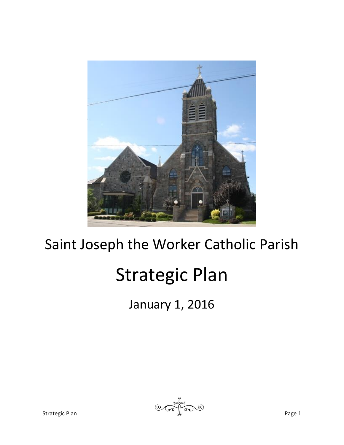

# Saint Joseph the Worker Catholic Parish

# Strategic Plan

January 1, 2016

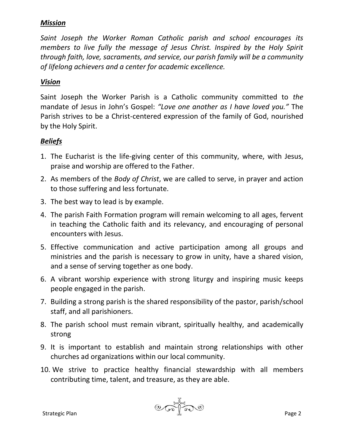#### *Mission*

*Saint Joseph the Worker Roman Catholic parish and school encourages its members to live fully the message of Jesus Christ. Inspired by the Holy Spirit through faith, love, sacraments, and service, our parish family will be a community of lifelong achievers and a center for academic excellence.*

#### *Vision*

Saint Joseph the Worker Parish is a Catholic community committed to *the*  mandate of Jesus in John's Gospel: *"Love one another as I have loved you."* The Parish strives to be a Christ‐centered expression of the family of God, nourished by the Holy Spirit.

#### *Beliefs*

- 1. The Eucharist is the life-giving center of this community, where, with Jesus, praise and worship are offered to the Father.
- 2. As members of the *Body of Christ*, we are called to serve, in prayer and action to those suffering and less fortunate.
- 3. The best way to lead is by example.
- 4. The parish Faith Formation program will remain welcoming to all ages, fervent in teaching the Catholic faith and its relevancy, and encouraging of personal encounters with Jesus.
- 5. Effective communication and active participation among all groups and ministries and the parish is necessary to grow in unity, have a shared vision, and a sense of serving together as one body.
- 6. A vibrant worship experience with strong liturgy and inspiring music keeps people engaged in the parish.
- 7. Building a strong parish is the shared responsibility of the pastor, parish/school staff, and all parishioners.
- 8. The parish school must remain vibrant, spiritually healthy, and academically strong
- 9. It is important to establish and maintain strong relationships with other churches ad organizations within our local community.
- 10. We strive to practice healthy financial stewardship with all members contributing time, talent, and treasure, as they are able.

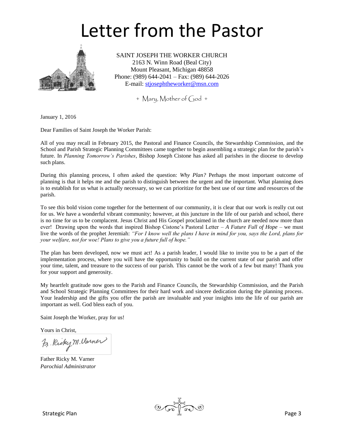# Letter from the Pastor



SAINT JOSEPH THE WORKER CHURCH 2163 N. Winn Road (Beal City) Mount Pleasant, Michigan 48858 Phone: (989) 644-2041 – Fax: (989) 644-2026 E-mail: [stjosephtheworker@msn.com](mailto:stjosephtheworker@msn.com)

+ Mary, Mother of God +

January 1, 2016

Dear Families of Saint Joseph the Worker Parish:

All of you may recall in February 2015, the Pastoral and Finance Councils, the Stewardship Commission, and the School and Parish Strategic Planning Committees came together to begin assembling a strategic plan for the parish's future. In *Planning Tomorrow's Parishes*, Bishop Joseph Cistone has asked all parishes in the diocese to develop such plans.

During this planning process, I often asked the question: *Why Plan?* Perhaps the most important outcome of planning is that it helps me and the parish to distinguish between the urgent and the important. What planning does is to establish for us what is actually necessary, so we can prioritize for the best use of our time and resources of the parish.

To see this bold vision come together for the betterment of our community, it is clear that our work is really cut out for us. We have a wonderful vibrant community; however, at this juncture in the life of our parish and school, there is no time for us to be complacent. Jesus Christ and His Gospel proclaimed in the church are needed now more than ever! Drawing upon the words that inspired Bishop Cistone's Pastoral Letter – *A Future Full of Hope* – we must live the words of the prophet Jeremiah: *"For I know well the plans I have in mind for you, says the Lord, plans for your welfare, not for woe! Plans to give you a future full of hope."*

The plan has been developed, now we must act! As a parish leader, I would like to invite you to be a part of the implementation process, where you will have the opportunity to build on the current state of our parish and offer your time, talent, and treasure to the success of our parish. This cannot be the work of a few but many! Thank you for your support and generosity.

My heartfelt gratitude now goes to the Parish and Finance Councils, the Stewardship Commission, and the Parish and School Strategic Planning Committees for their hard work and sincere dedication during the planning process. Your leadership and the gifts you offer the parish are invaluable and your insights into the life of our parish are important as well. God bless each of you.

Saint Joseph the Worker, pray for us!

Yours in Christ,

Fr. Riky M. Varner

Father Ricky M. Varner *Parochial Administrator*

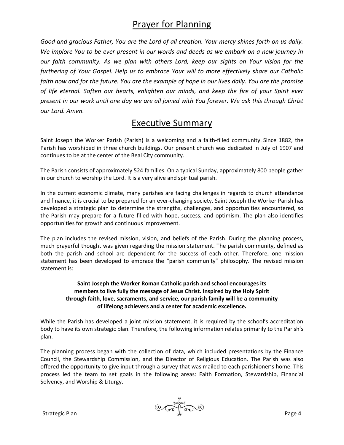### Prayer for Planning

*Good and gracious Father, You are the Lord of all creation. Your mercy shines forth on us daily. We implore You to be ever present in our words and deeds as we embark on a new journey in our faith community. As we plan with others Lord, keep our sights on Your vision for the furthering of Your Gospel. Help us to embrace Your will to more effectively share our Catholic faith now and for the future. You are the example of hope in our lives daily. You are the promise of life eternal. Soften our hearts, enlighten our minds, and keep the fire of your Spirit ever present in our work until one day we are all joined with You forever. We ask this through Christ our Lord. Amen.*

#### Executive Summary

Saint Joseph the Worker Parish (Parish) is a welcoming and a faith-filled community. Since 1882, the Parish has worshiped in three church buildings. Our present church was dedicated in July of 1907 and continues to be at the center of the Beal City community.

The Parish consists of approximately 524 families. On a typical Sunday, approximately 800 people gather in our church to worship the Lord. It is a very alive and spiritual parish.

In the current economic climate, many parishes are facing challenges in regards to church attendance and finance, it is crucial to be prepared for an ever-changing society. Saint Joseph the Worker Parish has developed a strategic plan to determine the strengths, challenges, and opportunities encountered, so the Parish may prepare for a future filled with hope, success, and optimism. The plan also identifies opportunities for growth and continuous improvement.

The plan includes the revised mission, vision, and beliefs of the Parish. During the planning process, much prayerful thought was given regarding the mission statement. The parish community, defined as both the parish and school are dependent for the success of each other. Therefore, one mission statement has been developed to embrace the "parish community" philosophy. The revised mission statement is:

#### **Saint Joseph the Worker Roman Catholic parish and school encourages its members to live fully the message of Jesus Christ. Inspired by the Holy Spirit through faith, love, sacraments, and service, our parish family will be a community of lifelong achievers and a center for academic excellence.**

While the Parish has developed a joint mission statement, it is required by the school's accreditation body to have its own strategic plan. Therefore, the following information relates primarily to the Parish's plan.

The planning process began with the collection of data, which included presentations by the Finance Council, the Stewardship Commission, and the Director of Religious Education. The Parish was also offered the opportunity to give input through a survey that was mailed to each parishioner's home. This process led the team to set goals in the following areas: Faith Formation, Stewardship, Financial Solvency, and Worship & Liturgy.

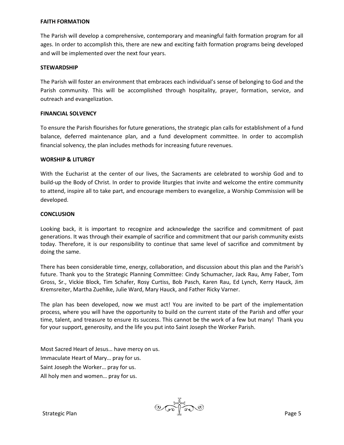#### **FAITH FORMATION**

The Parish will develop a comprehensive, contemporary and meaningful faith formation program for all ages. In order to accomplish this, there are new and exciting faith formation programs being developed and will be implemented over the next four years.

#### **STEWARDSHIP**

The Parish will foster an environment that embraces each individual's sense of belonging to God and the Parish community. This will be accomplished through hospitality, prayer, formation, service, and outreach and evangelization.

#### **FINANCIAL SOLVENCY**

To ensure the Parish flourishes for future generations, the strategic plan calls for establishment of a fund balance, deferred maintenance plan, and a fund development committee. In order to accomplish financial solvency, the plan includes methods for increasing future revenues.

#### **WORSHIP & LITURGY**

With the Eucharist at the center of our lives, the Sacraments are celebrated to worship God and to build-up the Body of Christ. In order to provide liturgies that invite and welcome the entire community to attend, inspire all to take part, and encourage members to evangelize, a Worship Commission will be developed.

#### **CONCLUSION**

Looking back, it is important to recognize and acknowledge the sacrifice and commitment of past generations. It was through their example of sacrifice and commitment that our parish community exists today. Therefore, it is our responsibility to continue that same level of sacrifice and commitment by doing the same.

There has been considerable time, energy, collaboration, and discussion about this plan and the Parish's future. Thank you to the Strategic Planning Committee: Cindy Schumacher, Jack Rau, Amy Faber, Tom Gross, Sr., Vickie Block, Tim Schafer, Rosy Curtiss, Bob Pasch, Karen Rau, Ed Lynch, Kerry Hauck, Jim Kremsreiter, Martha Zuehlke, Julie Ward, Mary Hauck, and Father Ricky Varner.

The plan has been developed, now we must act! You are invited to be part of the implementation process, where you will have the opportunity to build on the current state of the Parish and offer your time, talent, and treasure to ensure its success. This cannot be the work of a few but many! Thank you for your support, generosity, and the life you put into Saint Joseph the Worker Parish.

Most Sacred Heart of Jesus… have mercy on us. Immaculate Heart of Mary… pray for us. Saint Joseph the Worker… pray for us. All holy men and women… pray for us.

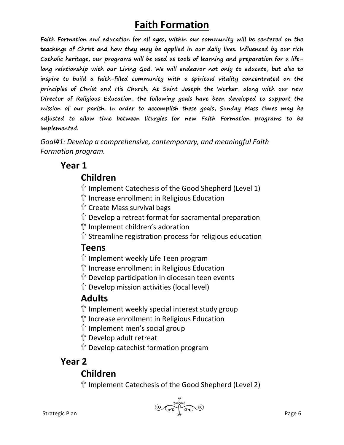# **Faith Formation**

**Faith Formation and education for all ages, within our community will be centered on the teachings of Christ and how they may be applied in our daily lives. Influenced by our rich Catholic heritage, our programs will be used as tools of learning and preparation for a lifelong relationship with our Living God. We will endeavor not only to educate, but also to inspire to build a faith-filled community with a spiritual vitality concentrated on the principles of Christ and His Church. At Saint Joseph the Worker, along with our new Director of Religious Education, the following goals have been developed to support the mission of our parish. In order to accomplish these goals, Sunday Mass times may be adjusted to allow time between liturgies for new Faith Formation programs to be implemented.**

*Goal#1: Develop a comprehensive, contemporary, and meaningful Faith Formation program.*

#### **Year 1**

#### **Children**

- Implement Catechesis of the Good Shepherd (Level 1)
- Increase enrollment in Religious Education
- Create Mass survival bags
- Develop a retreat format for sacramental preparation
- Implement children's adoration
- Streamline registration process for religious education

#### **Teens**

- Implement weekly Life Teen program
- Increase enrollment in Religious Education
- Develop participation in diocesan teen events
- Develop mission activities (local level)

### **Adults**

- $\hat{\mathbb{T}}$  Implement weekly special interest study group
- Increase enrollment in Religious Education
- Implement men's social group
- Develop adult retreat
- Develop catechist formation program

# **Year 2**

### **Children**

Implement Catechesis of the Good Shepherd (Level 2)

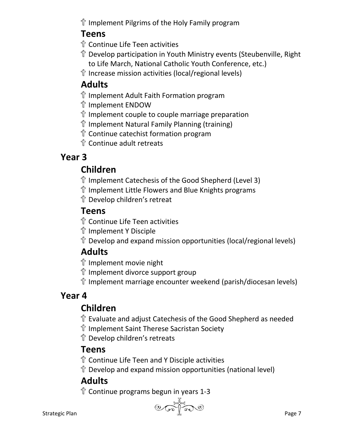Implement Pilgrims of the Holy Family program

### **Teens**

- Continue Life Teen activities
- Develop participation in Youth Ministry events (Steubenville, Right to Life March, National Catholic Youth Conference, etc.)
- Increase mission activities (local/regional levels)

# **Adults**

- Implement Adult Faith Formation program
- Implement ENDOW
- $\hat{\mathbb{T}}$  Implement couple to couple marriage preparation
- Implement Natural Family Planning (training)
- Continue catechist formation program
- Continue adult retreats

# **Year 3**

# **Children**

- Implement Catechesis of the Good Shepherd (Level 3)
- $\hat{\mathbb{T}}$  Implement Little Flowers and Blue Knights programs
- Develop children's retreat

# **Teens**

- Continue Life Teen activities
- Implement Y Disciple
- Develop and expand mission opportunities (local/regional levels)

# **Adults**

- Implement movie night
- Implement divorce support group
- Implement marriage encounter weekend (parish/diocesan levels)

# **Year 4**

# **Children**

- Evaluate and adjust Catechesis of the Good Shepherd as needed
- Implement Saint Therese Sacristan Society
- Develop children's retreats

# **Teens**

- Continue Life Teen and Y Disciple activities
- Develop and expand mission opportunities (national level)

# **Adults**

Continue programs begun in years 1-3

Strategic Plan Page 7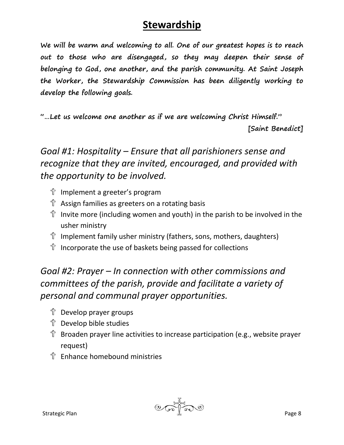# **Stewardship**

**We will be warm and welcoming to all. One of our greatest hopes is to reach out to those who are disengaged, so they may deepen their sense of belonging to God, one another, and the parish community. At Saint Joseph the Worker, the Stewardship Commission has been diligently working to develop the following goals.**

**"…Let us welcome one another as if we are welcoming Christ Himself."**

**[Saint Benedict]**

# *Goal #1: Hospitality – Ensure that all parishioners sense and recognize that they are invited, encouraged, and provided with the opportunity to be involved.*

- Implement a greeter's program
- Assign families as greeters on a rotating basis
- $\hat{\mathbb{T}}$  Invite more (including women and youth) in the parish to be involved in the usher ministry
- Implement family usher ministry (fathers, sons, mothers, daughters)
- Incorporate the use of baskets being passed for collections

# *Goal #2: Prayer – In connection with other commissions and committees of the parish, provide and facilitate a variety of personal and communal prayer opportunities.*

- Develop prayer groups
- Develop bible studies
- Broaden prayer line activities to increase participation (e.g., website prayer request)
- Enhance homebound ministries

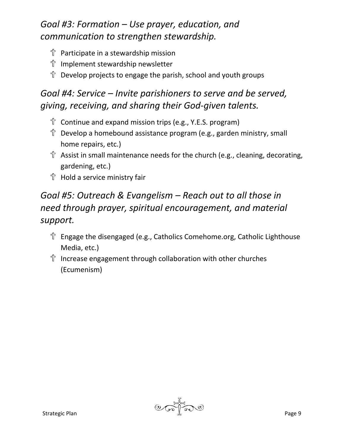### *Goal #3: Formation – Use prayer, education, and communication to strengthen stewardship.*

- Participate in a stewardship mission
- Implement stewardship newsletter
- $\hat{\mathbb{T}}$  Develop projects to engage the parish, school and youth groups

### *Goal #4: Service – Invite parishioners to serve and be served, giving, receiving, and sharing their God-given talents.*

- Continue and expand mission trips (e.g., Y.E.S. program)
- Develop a homebound assistance program (e.g., garden ministry, small home repairs, etc.)
- $\hat{T}$  Assist in small maintenance needs for the church (e.g., cleaning, decorating, gardening, etc.)
- Hold a service ministry fair

### *Goal #5: Outreach & Evangelism – Reach out to all those in need through prayer, spiritual encouragement, and material support.*

- Engage the disengaged (e.g., Catholics Comehome.org, Catholic Lighthouse Media, etc.)
- Increase engagement through collaboration with other churches (Ecumenism)

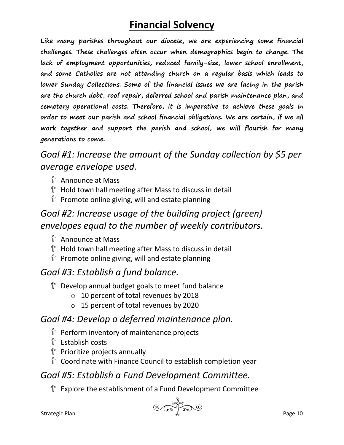# **Financial Solvency**

**Like many parishes throughout our diocese, we are experiencing some financial challenges. These challenges often occur when demographics begin to change. The lack of employment opportunities, reduced family-size, lower school enrollment, and some Catholics are not attending church on a regular basis which leads to lower Sunday Collections. Some of the financial issues we are facing in the parish are the church debt, roof repair, deferred school and parish maintenance plan, and cemetery operational costs. Therefore, it is imperative to achieve these goals in order to meet our parish and school financial obligations. We are certain, if we all work together and support the parish and school, we will flourish for many generations to come.**

### *Goal #1: Increase the amount of the Sunday collection by \$5 per average envelope used.*

- Announce at Mass
- Hold town hall meeting after Mass to discuss in detail
- $\hat{\mathbb{T}}$  Promote online giving, will and estate planning

### *Goal #2: Increase usage of the building project (green) envelopes equal to the number of weekly contributors.*

- Announce at Mass
- Hold town hall meeting after Mass to discuss in detail
- $\hat{\mathbb{T}}$  Promote online giving, will and estate planning

### *Goal #3: Establish a fund balance.*

- $\mathbb{T}$  Develop annual budget goals to meet fund balance
	- o 10 percent of total revenues by 2018
	- o 15 percent of total revenues by 2020

### *Goal #4: Develop a deferred maintenance plan.*

- Perform inventory of maintenance projects
- Establish costs
- Prioritize projects annually
- Coordinate with Finance Council to establish completion year

#### *Goal #5: Establish a Fund Development Committee.*

Explore the establishment of a Fund Development Committee